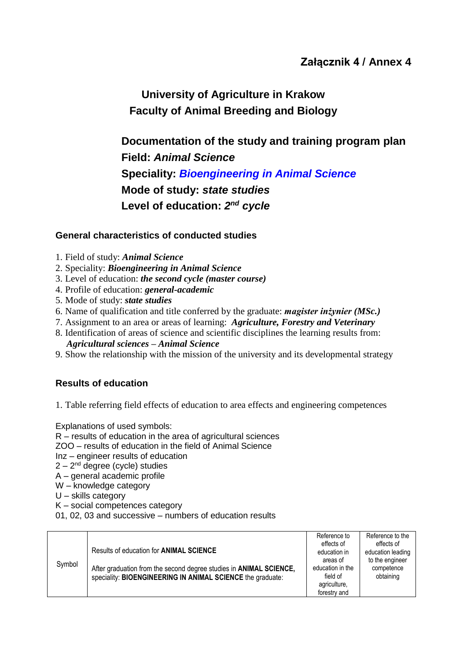**University of Agriculture in Krakow Faculty of Animal Breeding and Biology**

**Documentation of the study and training program plan Field:** *Animal Science* **Speciality:** *Bioengineering in Animal Science* **Mode of study:** *state studies*  Level of education: 2<sup>nd</sup> cycle

## **General characteristics of conducted studies**

- 1. Field of study: *Animal Science*
- 2. Speciality: *Bioengineering in Animal Science*
- 3. Level of education: *the second cycle (master course)*
- 4. Profile of education: *general-academic*
- 5. Mode of study: *state studies*
- 6. Name of qualification and title conferred by the graduate: *magister inżynier (MSc.)*
- 7. Assignment to an area or areas of learning: *Agriculture, Forestry and Veterinary*
- 8. Identification of areas of science and scientific disciplines the learning results from: *Agricultural sciences – Animal Science*
- 9. Show the relationship with the mission of the university and its developmental strategy

## **Results of education**

1. Table referring field effects of education to area effects and engineering competences

Explanations of used symbols:

- R results of education in the area of agricultural sciences
- ZOO results of education in the field of Animal Science
- Inz engineer results of education
- 2 2<sup>nd</sup> degree (cycle) studies
- A general academic profile
- W knowledge category
- U skills category
- K social competences category
- 01, 02, 03 and successive numbers of education results

|        |                                                                            | Reference to     | Reference to the  |
|--------|----------------------------------------------------------------------------|------------------|-------------------|
|        | Results of education for <b>ANIMAL SCIENCE</b>                             | effects of       | effects of        |
|        |                                                                            | education in     | education leading |
|        |                                                                            | areas of         | to the engineer   |
| Symbol | After graduation from the second degree studies in <b>ANIMAL SCIENCE</b> , | education in the | competence        |
|        | speciality: BIOENGINEERING IN ANIMAL SCIENCE the graduate:                 | field of         | obtaining         |
|        |                                                                            | agriculture,     |                   |
|        |                                                                            | forestry and     |                   |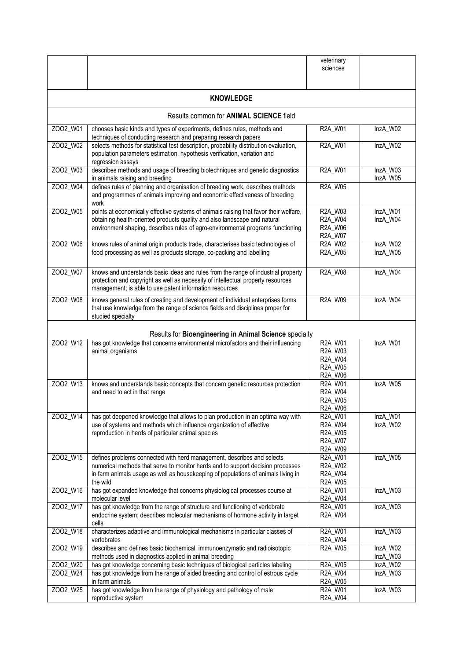|                                                        |                                                                                                                                                                                                                                                            | veterinary<br>sciences                                                       |                      |
|--------------------------------------------------------|------------------------------------------------------------------------------------------------------------------------------------------------------------------------------------------------------------------------------------------------------------|------------------------------------------------------------------------------|----------------------|
|                                                        | <b>KNOWLEDGE</b>                                                                                                                                                                                                                                           |                                                                              |                      |
|                                                        | Results common for <b>ANIMAL SCIENCE</b> field                                                                                                                                                                                                             |                                                                              |                      |
| ZOO2_W01                                               | chooses basic kinds and types of experiments, defines rules, methods and<br>techniques of conducting research and preparing research papers                                                                                                                | R2A_W01                                                                      | InzA_W02             |
| ZOO2_W02                                               | selects methods for statistical test description, probability distribution evaluation,<br>population parameters estimation, hypothesis verification, variation and<br>regression assays                                                                    | R2A_W01                                                                      | InzA_W02             |
| ZOO2_W03                                               | describes methods and usage of breeding biotechniques and genetic diagnostics<br>in animals raising and breeding                                                                                                                                           | R2A_W01                                                                      | InzA_W03<br>InzA W05 |
| ZOO2_W04                                               | defines rules of planning and organisation of breeding work, describes methods<br>and programmes of animals improving and economic effectiveness of breeding<br>work                                                                                       | R2A_W05                                                                      |                      |
| ZOO2 W05                                               | points at economically effective systems of animals raising that favor their welfare,<br>obtaining health-oriented products quality and also landscape and natural<br>environment shaping, describes rules of agro-environmental programs functioning      | R2A_W03<br>R2A_W04<br>R2A_W06<br>R2A_W07                                     | InzA_W01<br>InzA_W04 |
| ZOO2 W06                                               | knows rules of animal origin products trade, characterises basic technologies of<br>food processing as well as products storage, co-packing and labelling                                                                                                  | <b>R2A W02</b><br>R2A_W05                                                    | InzA_W02<br>InzA_W05 |
| ZOO2_W07                                               | knows and understands basic ideas and rules from the range of industrial property<br>protection and copyright as well as necessity of intellectual property resources<br>management; is able to use patent information resources                           | R2A_W08                                                                      | InzA_W04             |
| ZOO2_W08                                               | knows general rules of creating and development of individual enterprises forms<br>that use knowledge from the range of science fields and disciplines proper for<br>studied specialty                                                                     | R2A_W09                                                                      | InzA_W04             |
| Results for Bioengineering in Animal Science specialty |                                                                                                                                                                                                                                                            |                                                                              |                      |
| ZOO2_W12                                               | has got knowledge that concerns environmental microfactors and their influencing<br>animal organisms                                                                                                                                                       | R2A_W01<br>R <sub>2</sub> A_W <sub>03</sub><br>R2A_W04<br>R2A_W05<br>R2A_W06 | InzA_W01             |
| ZOO2_W13                                               | knows and understands basic concepts that concern genetic resources protection<br>and need to act in that range                                                                                                                                            | R2A_W01<br>R2A_W04<br>R2A_W05<br>R2A_W06                                     | InzA_W05             |
| Z002_W14                                               | has got deepened knowledge that allows to plan production in an optima way with<br>use of systems and methods which influence organization of effective<br>reproduction in herds of particular animal species                                              | R2A_W01<br>R2A_W04<br>R2A_W05<br>R2A_W07<br>R2A_W09                          | InzA_W01<br>InzA_W02 |
| Z002_W15                                               | defines problems connected with herd management, describes and selects<br>numerical methods that serve to monitor herds and to support decision processes<br>in farm animals usage as well as housekeeping of populations of animals living in<br>the wild | R2A_W01<br>R2A_W02<br>R2A_W04<br>R2A_W05                                     | InzA_W05             |
| Z002_W16                                               | has got expanded knowledge that concerns physiological processes course at<br>molecular level                                                                                                                                                              | R2A_W01<br>R2A_W04                                                           | InzA_W03             |
| Z002_W17                                               | has got knowledge from the range of structure and functioning of vertebrate<br>endocrine system; describes molecular mechanisms of hormone activity in target<br>cells                                                                                     | R2A_W01<br>R2A_W04                                                           | InzA_W03             |
| ZOO2_W18                                               | characterizes adaptive and immunological mechanisms in particular classes of<br>vertebrates                                                                                                                                                                | R2A_W01<br>R2A_W04                                                           | InzA_W03             |
| ZOO2_W19                                               | describes and defines basic biochemical, immunoenzymatic and radioisotopic<br>methods used in diagnostics applied in animal breeding                                                                                                                       | R <sub>2</sub> A_W <sub>05</sub>                                             | InzA_W02<br>InzA_W03 |
| ZOO2_W20<br>ZOO2_W24                                   | has got knowledge concerning basic techniques of biological particles labeling<br>has got knowledge from the range of aided breeding and control of estrous cycle                                                                                          | R2A_W05<br>R2A_W04                                                           | InzA_W02<br>InzA_W03 |
|                                                        | in farm animals                                                                                                                                                                                                                                            | R2A_W05                                                                      |                      |
| ZOO2_W25                                               | has got knowledge from the range of physiology and pathology of male<br>reproductive system                                                                                                                                                                | R2A_W01<br>R2A_W04                                                           | InzA_W03             |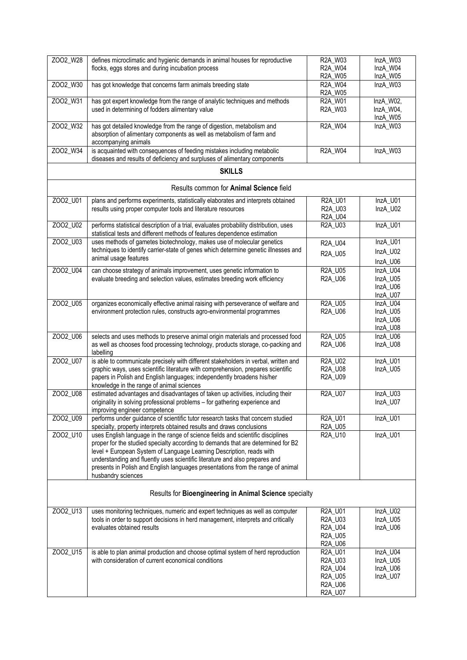| ZOO2_W28 | defines microclimatic and hygienic demands in animal houses for reproductive                                                                                                                                                            | R2A_W03                   | InzA_W03              |
|----------|-----------------------------------------------------------------------------------------------------------------------------------------------------------------------------------------------------------------------------------------|---------------------------|-----------------------|
|          | flocks, eggs stores and during incubation process                                                                                                                                                                                       | R2A_W04<br>R2A_W05        | InzA_W04<br>InzA_W05  |
| ZOO2 W30 | has got knowledge that concerns farm animals breeding state                                                                                                                                                                             | R2A_W04<br>R2A_W05        | InzA_W03              |
| ZOO2_W31 | has got expert knowledge from the range of analytic techniques and methods                                                                                                                                                              | R2A_W01                   | InzA_W02,             |
|          | used in determining of fodders alimentary value                                                                                                                                                                                         | R2A_W03                   | InzA_W04,<br>InzA_W05 |
| ZOO2_W32 | has got detailed knowledge from the range of digestion, metabolism and<br>absorption of alimentary components as well as metabolism of farm and<br>accompanying animals                                                                 | R2A_W04                   | InzA_W03              |
| ZOO2_W34 | is acquainted with consequences of feeding mistakes including metabolic<br>diseases and results of deficiency and surpluses of alimentary components                                                                                    | R2A_W04                   | InzA_W03              |
|          | <b>SKILLS</b>                                                                                                                                                                                                                           |                           |                       |
|          | Results common for Animal Science field                                                                                                                                                                                                 |                           |                       |
| Z002_U01 | plans and performs experiments, statistically elaborates and interprets obtained                                                                                                                                                        | R2A_U01                   | InzA_U01              |
|          | results using proper computer tools and literature resources                                                                                                                                                                            | R2A_U03<br>R2A_U04        | InzA_U02              |
| ZOO2_U02 | performs statistical description of a trial, evaluates probability distribution, uses<br>statistical tests and different methods of features dependence estimation                                                                      | R2A_U03                   | InzA_U01              |
| ZOO2_U03 | uses methods of gametes biotechnology, makes use of molecular genetics                                                                                                                                                                  | R2A_U04                   | InzA_U01              |
|          | techniques to identify carrier-state of genes which determine genetic illnesses and<br>animal usage features                                                                                                                            | R2A_U05                   | InzA_U02              |
|          |                                                                                                                                                                                                                                         |                           | InzA_U06<br>InzA U04  |
| ZOO2_U04 | can choose strategy of animals improvement, uses genetic information to<br>evaluate breeding and selection values, estimates breeding work efficiency                                                                                   | <b>R2A_U05</b><br>R2A_U06 | InzA U05              |
|          |                                                                                                                                                                                                                                         |                           | InzA_U06              |
|          |                                                                                                                                                                                                                                         |                           | InzA_U07              |
| ZOO2_U05 | organizes economically effective animal raising with perseverance of welfare and<br>environment protection rules, constructs agro-environmental programmes                                                                              | R2A_U05<br>R2A_U06        | InzA_U04<br>InzA_U05  |
|          |                                                                                                                                                                                                                                         |                           | InzA_U06              |
|          |                                                                                                                                                                                                                                         |                           | InzA_U08              |
| ZOO2_U06 | selects and uses methods to preserve animal origin materials and processed food<br>as well as chooses food processing technology, products storage, co-packing and<br>labelling                                                         | <b>R2A_U05</b><br>R2A_U06 | InzA_U06<br>InzA_U08  |
| ZOO2 U07 | is able to communicate precisely with different stakeholders in verbal, written and                                                                                                                                                     | R2A_U02                   | InzA_U01              |
|          | graphic ways, uses scientific literature with comprehension, prepares scientific<br>papers in Polish and English languages; independently broadens his/her<br>knowledge in the range of animal sciences                                 | R2A_U08<br>R2A_U09        | InzA_U05              |
| ZOO2_U08 | estimated advantages and disadvantages of taken up activities, including their                                                                                                                                                          | R2A_U07                   | InzA_U03              |
|          | originality in solving professional problems - for gathering experience and<br>improving engineer competence                                                                                                                            |                           | InzA U07              |
| ZOO2_U09 | performs under guidance of scientific tutor research tasks that concern studied                                                                                                                                                         | R2A_U01                   | InzA_U01              |
| ZOO2_U10 | specialty, property interprets obtained results and draws conclusions<br>uses English language in the range of science fields and scientific disciplines                                                                                | R2A_U05<br>R2A_U10        | InzA_U01              |
|          | proper for the studied specialty according to demands that are determined for B2<br>level + European System of Language Learning Description, reads with<br>understanding and fluently uses scientific literature and also prepares and |                           |                       |
|          | presents in Polish and English languages presentations from the range of animal<br>husbandry sciences                                                                                                                                   |                           |                       |
|          | Results for Bioengineering in Animal Science specialty                                                                                                                                                                                  |                           |                       |
| ZOO2_U13 | uses monitoring techniques, numeric and expert techniques as well as computer                                                                                                                                                           | R2A_U01                   | InzA_U02              |
|          | tools in order to support decisions in herd management, interprets and critically                                                                                                                                                       | R2A_U03                   | InzA_U05              |
|          | evaluates obtained results                                                                                                                                                                                                              | R2A_U04<br>R2A_U05        | InzA_U06              |
|          |                                                                                                                                                                                                                                         | R2A_U06                   |                       |
| ZO02_U15 | is able to plan animal production and choose optimal system of herd reproduction                                                                                                                                                        | R2A_U01                   | InzA_U04              |
|          | with consideration of current economical conditions                                                                                                                                                                                     | R2A_U03                   | InzA_U05              |
|          |                                                                                                                                                                                                                                         | R2A_U04<br>R2A_U05        | InzA_U06<br>InzA_U07  |
|          |                                                                                                                                                                                                                                         | R2A_U06                   |                       |
|          |                                                                                                                                                                                                                                         | R2A_U07                   |                       |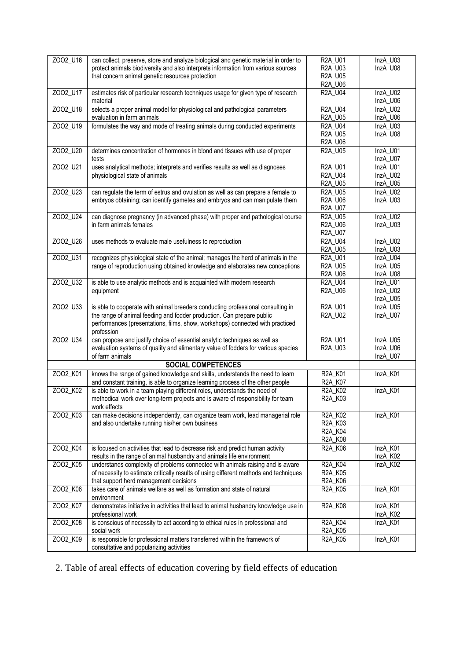| ZOO2_U16 |                                                                                                                                                                           |                                  |                      |
|----------|---------------------------------------------------------------------------------------------------------------------------------------------------------------------------|----------------------------------|----------------------|
|          | can collect, preserve, store and analyze biological and genetic material in order to<br>protect animals biodiversity and also interprets information from various sources | R2A_U01<br>R2A_U03               | InzA_U03<br>InzA_U08 |
|          | that concern animal genetic resources protection                                                                                                                          | R2A_U05                          |                      |
|          |                                                                                                                                                                           | R2A_U06                          |                      |
| ZO02_U17 | estimates risk of particular research techniques usage for given type of research                                                                                         | R2A_U04                          | InzA_U02             |
|          | material                                                                                                                                                                  |                                  | InzA_U06             |
| ZOO2_U18 | selects a proper animal model for physiological and pathological parameters                                                                                               | R2A_U04                          | InzA U02             |
|          | evaluation in farm animals                                                                                                                                                | R2A_U05                          | InzA_U06             |
| ZOO2_U19 | formulates the way and mode of treating animals during conducted experiments                                                                                              | R2A_U04                          | InzA_U03             |
|          |                                                                                                                                                                           | R2A_U05                          | InzA_U08             |
|          |                                                                                                                                                                           | R2A_U06                          |                      |
| ZOO2 U20 | determines concentration of hormones in blond and tissues with use of proper                                                                                              | R2A_U05                          | InzA_U01             |
|          | tests                                                                                                                                                                     |                                  | InzA_U07             |
| ZOO2 U21 | uses analytical methods; interprets and verifies results as well as diagnoses                                                                                             | R2A_U01                          | InzA_U01             |
|          | physiological state of animals                                                                                                                                            | R2A_U04<br><b>R2A U05</b>        | InzA_U02<br>InzA_U05 |
| ZOO2_U23 | can regulate the term of estrus and ovulation as well as can prepare a female to                                                                                          | R2A_U05                          | InzA_U02             |
|          | embryos obtaining; can identify gametes and embryos and can manipulate them                                                                                               | R2A_U06                          | InzA_U03             |
|          |                                                                                                                                                                           | R2A_U07                          |                      |
| ZOO2_U24 | can diagnose pregnancy (in advanced phase) with proper and pathological course                                                                                            | R2A_U05                          | InzA_U02             |
|          | in farm animals females                                                                                                                                                   | R2A_U06                          | InzA_U03             |
|          |                                                                                                                                                                           | R2A_U07                          |                      |
| ZOO2_U26 | uses methods to evaluate male usefulness to reproduction                                                                                                                  | <b>R2A U04</b>                   | InzA U02             |
|          |                                                                                                                                                                           | R2A_U05                          | InzA_U03             |
| ZOO2_U31 | recognizes physiological state of the animal; manages the herd of animals in the                                                                                          | R2A U01                          | InzA U04             |
|          | range of reproduction using obtained knowledge and elaborates new conceptions                                                                                             | <b>R2A U05</b>                   | InzA_U05             |
|          |                                                                                                                                                                           | R2A_U06                          | InzA_U08             |
| ZOO2_U32 | is able to use analytic methods and is acquainted with modern research                                                                                                    | <b>R2A U04</b>                   | InzA_U01             |
|          | equipment                                                                                                                                                                 | R2A_U06                          | InzA_U02             |
|          |                                                                                                                                                                           |                                  | InzA_U05             |
| ZOO2_U33 | is able to cooperate with animal breeders conducting professional consulting in                                                                                           | R2A_U01                          | InzA_U05             |
|          | the range of animal feeding and fodder production. Can prepare public                                                                                                     | R2A_U02                          | InzA_U07             |
|          | performances (presentations, films, show, workshops) connected with practiced                                                                                             |                                  |                      |
|          | profession                                                                                                                                                                |                                  |                      |
|          |                                                                                                                                                                           |                                  |                      |
| ZOO2_U34 | can propose and justify choice of essential analytic techniques as well as                                                                                                | R2A_U01                          | InzA U05             |
|          | evaluation systems of quality and alimentary value of fodders for various species                                                                                         | R2A_U03                          | InzA_U06             |
|          | of farm animals                                                                                                                                                           |                                  | InzA_U07             |
|          | <b>SOCIAL COMPETENCES</b>                                                                                                                                                 |                                  |                      |
| ZOO2_K01 | knows the range of gained knowledge and skills, understands the need to learn                                                                                             | R2A_K01                          | InzA_K01             |
|          | and constant training, is able to organize learning process of the other people                                                                                           | R2A_K07                          |                      |
| ZOO2_K02 | is able to work in a team playing different roles, understands the need of                                                                                                | R <sub>2</sub> A_K <sub>02</sub> | InzA_K01             |
|          | methodical work over long-term projects and is aware of responsibility for team                                                                                           | R2A_K03                          |                      |
|          | work effects                                                                                                                                                              | R2A K02                          |                      |
| ZOO2_K03 | can make decisions independently, can organize team work, lead managerial role                                                                                            | R2A_K03                          | InzA_K01             |
|          | and also undertake running his/her own business                                                                                                                           | R2A_K04                          |                      |
|          |                                                                                                                                                                           | R2A_K08                          |                      |
| ZOO2_K04 | is focused on activities that lead to decrease risk and predict human activity                                                                                            | R2A_K06                          | InzA K01             |
|          | results in the range of animal husbandry and animals life environment                                                                                                     |                                  | InzA_K02             |
| ZOO2_K05 | understands complexity of problems connected with animals raising and is aware                                                                                            | R2A_K04                          | InzA_K02             |
|          | of necessity to estimate critically results of using different methods and techniques                                                                                     | R2A_K05                          |                      |
|          | that support herd management decisions                                                                                                                                    | R2A_K06                          |                      |
| ZOO2_K06 | takes care of animals welfare as well as formation and state of natural                                                                                                   | R2A_K05                          | InzA_K01             |
|          | environment                                                                                                                                                               |                                  |                      |
| ZOO2_K07 | demonstrates initiative in activities that lead to animal husbandry knowledge use in                                                                                      | R2A_K08                          | InzA_K01             |
|          | professional work                                                                                                                                                         |                                  | InzA_K02             |
| ZOO2_K08 | is conscious of necessity to act according to ethical rules in professional and                                                                                           | R2A_K04                          | InzA_K01             |
| ZOO2_K09 | social work<br>is responsible for professional matters transferred within the framework of                                                                                | R2A_K05<br>R2A_K05               | InzA_K01             |

2. Table of areal effects of education covering by field effects of education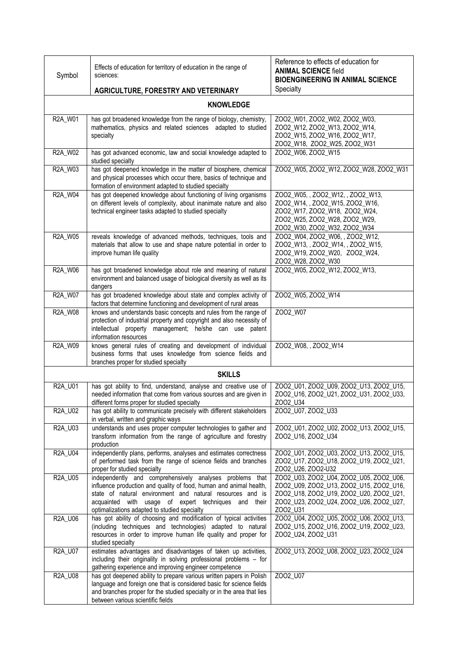| Symbol           | Effects of education for territory of education in the range of<br>sciences:                                                                                                                                                                                                                        | Reference to effects of education for<br><b>ANIMAL SCIENCE field</b><br><b>BIOENGINEERING IN ANIMAL SCIENCE</b>                                                                      |
|------------------|-----------------------------------------------------------------------------------------------------------------------------------------------------------------------------------------------------------------------------------------------------------------------------------------------------|--------------------------------------------------------------------------------------------------------------------------------------------------------------------------------------|
|                  | AGRICULTURE, FORESTRY AND VETERINARY                                                                                                                                                                                                                                                                | Specialty                                                                                                                                                                            |
| <b>KNOWLEDGE</b> |                                                                                                                                                                                                                                                                                                     |                                                                                                                                                                                      |
| R2A_W01          | has got broadened knowledge from the range of biology, chemistry,<br>mathematics, physics and related sciences adapted to studied<br>specialty                                                                                                                                                      | ZOO2_W01, ZOO2_W02, ZOO2_W03,<br>ZOO2_W12, ZOO2_W13, ZOO2_W14,<br>ZOO2_W15, ZOO2_W16, ZOO2_W17,<br>ZOO2_W18, ZOO2_W25, ZOO2_W31                                                      |
| R2A_W02          | has got advanced economic, law and social knowledge adapted to<br>studied specialty                                                                                                                                                                                                                 | ZOO2 W06, ZOO2 W15                                                                                                                                                                   |
| R2A W03          | has got deepened knowledge in the matter of biosphere, chemical<br>and physical processes which occur there, basics of technique and<br>formation of environment adapted to studied specialty                                                                                                       | ZOO2_W05, ZOO2_W12, ZOO2_W28, ZOO2_W31                                                                                                                                               |
| R2A_W04          | has got deepened knowledge about functioning of living organisms<br>on different levels of complexity, about inanimate nature and also<br>technical engineer tasks adapted to studied specialty                                                                                                     | ZOO2_W05, , ZOO2_W12, , ZOO2_W13,<br>ZOO2_W14, , ZOO2_W15, ZOO2_W16,<br>ZOO2_W17, ZOO2_W18, ZOO2_W24,<br>ZOO2_W25, ZOO2_W28, ZOO2_W29,<br>ZOO2_W30, ZOO2_W32, ZOO2_W34               |
| R2A_W05          | reveals knowledge of advanced methods, techniques, tools and<br>materials that allow to use and shape nature potential in order to<br>improve human life quality                                                                                                                                    | ZOO2_W04, ZOO2_W06, , ZOO2_W12,<br>ZOO2_W13,, ZOO2_W14,, ZOO2_W15,<br>ZOO2_W19, ZOO2_W20, ZOO2_W24,<br>ZOO2_W28, ZOO2_W30                                                            |
| R2A_W06          | has got broadened knowledge about role and meaning of natural<br>environment and balanced usage of biological diversity as well as its<br>dangers                                                                                                                                                   | ZOO2_W05, ZOO2_W12, ZOO2_W13,                                                                                                                                                        |
| R2A_W07          | has got broadened knowledge about state and complex activity of<br>factors that determine functioning and development of rural areas                                                                                                                                                                | ZOO2_W05, ZOO2_W14                                                                                                                                                                   |
| R2A_W08          | knows and understands basic concepts and rules from the range of<br>protection of industrial property and copyright and also necessity of<br>intellectual property management; he/she can use patent<br>information resources                                                                       | Z002_W07                                                                                                                                                                             |
| R2A_W09          | knows general rules of creating and development of individual<br>business forms that uses knowledge from science fields and<br>branches proper for studied specialty                                                                                                                                | ZOO2_W08, , ZOO2_W14                                                                                                                                                                 |
|                  | <b>SKILLS</b>                                                                                                                                                                                                                                                                                       |                                                                                                                                                                                      |
| R2A_U01          | has got ability to find, understand, analyse and creative use of<br>needed information that come from various sources and are given in<br>different forms proper for studied specialty                                                                                                              | ZOO2 U01, ZOO2 U09, ZOO2 U13, ZOO2 U15,<br>ZOO2_U16, ZOO2_U21, ZOO2_U31, ZOO2_U33,<br>ZOO2_U34                                                                                       |
| R2A_U02          | has got ability to communicate precisely with different stakeholders<br>in verbal, written and graphic ways                                                                                                                                                                                         | ZOO2_U07, ZOO2_U33                                                                                                                                                                   |
| R2A_U03          | understands and uses proper computer technologies to gather and<br>transform information from the range of agriculture and forestry<br>production                                                                                                                                                   | ZOO2_U01, ZOO2_U02, ZOO2_U13, ZOO2_U15,<br>ZOO2_U16, ZOO2_U34                                                                                                                        |
| R2A_U04          | independently plans, performs, analyses and estimates correctness<br>of performed task from the range of science fields and branches<br>proper for studied specialty                                                                                                                                | ZOO2_U01, ZOO2_U03, ZOO2_U13, ZOO2_U15,<br>Z002_U17, Z002_U18, Z002_U19, Z002_U21,<br>ZOO2_U26, ZOO2-U32                                                                             |
| R2A_U05          | independently and comprehensively analyses problems that<br>influence production and quality of food, human and animal health,<br>state of natural environment and natural resources and is<br>acquainted with usage of expert techniques and their<br>optimalizations adapted to studied specialty | ZOO2_U03, ZOO2_U04, ZOO2_U05, ZOO2_U06,<br>ZOO2 U09, ZOO2 U13, ZOO2 U15, ZOO2 U16,<br>ZOO2_U18, ZOO2_U19, ZOO2_U20, ZOO2_U21,<br>ZOO2_U23, ZOO2_U24, ZOO2_U26, ZOO2_U27,<br>ZOO2_U31 |
| R2A_U06          | has got ability of choosing and modification of typical activities<br>(including techniques and technologies) adapted to natural<br>resources in order to improve human life quality and proper for<br>studied specialty                                                                            | ZOO2_U04, ZOO2_U05, ZOO2_U06, ZOO2_U13,<br>ZOO2_U15, ZOO2_U16, ZOO2_U19, ZOO2_U23,<br>ZOO2_U24, ZOO2_U31                                                                             |
| R2A_U07          | estimates advantages and disadvantages of taken up activities,<br>including their originality in solving professional problems - for<br>gathering experience and improving engineer competence                                                                                                      | ZOO2_U13, ZOO2_U08, ZOO2_U23, ZOO2_U24                                                                                                                                               |
| R2A_U08          | has got deepened ability to prepare various written papers in Polish<br>language and foreign one that is considered basic for science fields<br>and branches proper for the studied specialty or in the area that lies<br>between various scientific fields                                         | ZOO2_U07                                                                                                                                                                             |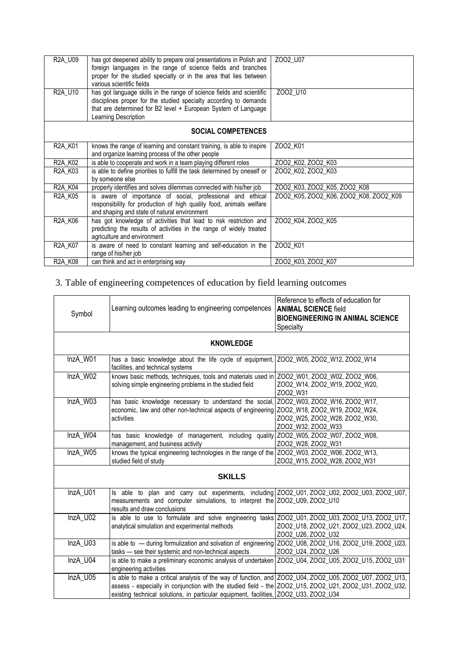| <b>R2A U09</b>                   | has got deepened ability to prepare oral presentations in Polish and<br>foreign languages in the range of science fields and branches<br>proper for the studied specialty or in the area that lies between<br>various scientific fields | ZOO2 U07                               |
|----------------------------------|-----------------------------------------------------------------------------------------------------------------------------------------------------------------------------------------------------------------------------------------|----------------------------------------|
| R2A U10                          | has got language skills in the range of science fields and scientific<br>disciplines proper for the studied specialty according to demands<br>that are determined for B2 level + European System of Language<br>Learning Description    | ZOO2 U10                               |
| <b>SOCIAL COMPETENCES</b>        |                                                                                                                                                                                                                                         |                                        |
| R2A_K01                          | knows the range of learning and constant training, is able to inspire<br>and organize learning process of the other people                                                                                                              | ZOO2 K01                               |
| R <sub>2</sub> A K <sub>02</sub> | is able to cooperate and work in a team playing different roles                                                                                                                                                                         | ZOO2 K02, ZOO2 K03                     |
| R <sub>2</sub> A K <sub>03</sub> | is able to define priorities to fulfill the task determined by oneself or<br>by someone else                                                                                                                                            | ZOO2 K02, ZOO2 K03                     |
| <b>R2A K04</b>                   | properly identifies and solves dilemmas connected with his/her job                                                                                                                                                                      | ZOO2 K03, ZOO2 K05, ZOO2 K08           |
| <b>R2A K05</b>                   | is aware of importance of social, professional and ethical<br>responsibility for production of high quality food, animals welfare<br>and shaping and state of natural environment                                                       | ZOO2 K05, ZOO2 K06, ZOO2 K08, ZOO2 K09 |
| <b>R2A K06</b>                   | has got knowledge of activities that lead to risk restriction and<br>predicting the results of activities in the range of widely treated<br>agriculture and environment                                                                 | ZOO2 K04, ZOO2 K05                     |
| R <sub>2</sub> A K <sub>07</sub> | is aware of need to constant learning and self-education in the<br>range of his/her job                                                                                                                                                 | ZOO2 K01                               |
| R2A_K08                          | can think and act in enterprising way                                                                                                                                                                                                   | ZOO2 K03, ZOO2 K07                     |

## 3. Table of engineering competences of education by field learning outcomes

|          |                                                                                                                            | Reference to effects of education for   |
|----------|----------------------------------------------------------------------------------------------------------------------------|-----------------------------------------|
|          | Learning outcomes leading to engineering competences                                                                       | <b>ANIMAL SCIENCE field</b>             |
| Symbol   |                                                                                                                            | <b>BIOENGINEERING IN ANIMAL SCIENCE</b> |
|          |                                                                                                                            | Specialty                               |
|          |                                                                                                                            |                                         |
|          | <b>KNOWLEDGE</b>                                                                                                           |                                         |
| InzA W01 | has a basic knowledge about the life cycle of equipment, ZOO2_W05, ZOO2_W12, ZOO2_W14<br>facilities, and technical systems |                                         |
| InzA W02 | knows basic methods, techniques, tools and materials used in ZOO2_W01, ZOO2_W02, ZOO2_W06,                                 |                                         |
|          | solving simple engineering problems in the studied field                                                                   | ZOO2_W14, ZOO2_W19, ZOO2_W20,           |
|          |                                                                                                                            | ZOO2 W31                                |
| InzA_W03 | has basic knowledge necessary to understand the social,                                                                    | Z002_W03, Z002_W16, Z002_W17,           |
|          | economic, law and other non-technical aspects of engineering ZOO2_W18, ZOO2_W19, ZOO2_W24,                                 |                                         |
|          | activities                                                                                                                 | ZOO2_W25, ZOO2_W28, ZOO2_W30,           |
|          |                                                                                                                            | ZOO2_W32, ZOO2_W33                      |
| InzA_W04 | has basic knowledge of management, including quality ZOO2_W05, ZOO2_W07, ZOO2_W08,                                         |                                         |
|          | management, and business activity                                                                                          | ZOO2 W28, ZOO2 W31                      |
| InzA_W05 | knows the typical engineering technologies in the range of the ZOO2_W03, ZOO2_W06, ZOO2_W13,                               |                                         |
|          | studied field of study                                                                                                     | ZOO2_W15, ZOO2_W28, ZOO2_W31            |
|          | <b>SKILLS</b>                                                                                                              |                                         |
| InzA U01 | Is able to plan and carry out experiments, including ZOO2_U01, ZOO2_U02, ZOO2_U03, ZOO2_U07,                               |                                         |
|          | measurements and computer simulations, to interpret the ZOO2_U09, ZOO2_U10                                                 |                                         |
|          | results and draw conclusions                                                                                               |                                         |
| InzA U02 | is able to use to formulate and solve engineering tasks Z002_U01, Z002_U03, Z002_U13, Z002_U17,                            |                                         |
|          | analytical simulation and experimental methods                                                                             | ZOO2_U18, ZOO2_U21, ZOO2_U23, ZOO2_U24, |
|          |                                                                                                                            | ZOO2_U26, ZOO2_U32                      |
| InzA U03 | is able to - during formulization and solvation of engineering ZOO2_U08, ZOO2_U16, ZOO2_U19, ZOO2_U23,                     |                                         |
|          | tasks - see their systemic and non-technical aspects                                                                       | ZO02_U24, ZO02_U26                      |
| InzA U04 | is able to make a preliminary economic analysis of undertaken ZOO2 U04, ZOO2 U05, ZOO2 U15, ZOO2 U31                       |                                         |
|          | engineering activities                                                                                                     |                                         |
| InzA U05 | is able to make a critical analysis of the way of function, and ZOO2_U04, ZOO2_U05, ZOO2_U07, ZOO2_U13,                    |                                         |
|          | assess - especially in conjunction with the studied field - the ZOO2_U15, ZOO2_U21, ZOO2_U31, ZOO2_U32,                    |                                         |
|          | existing technical solutions, in particular equipment, facilities, ZOO2 U33, ZOO2 U34                                      |                                         |